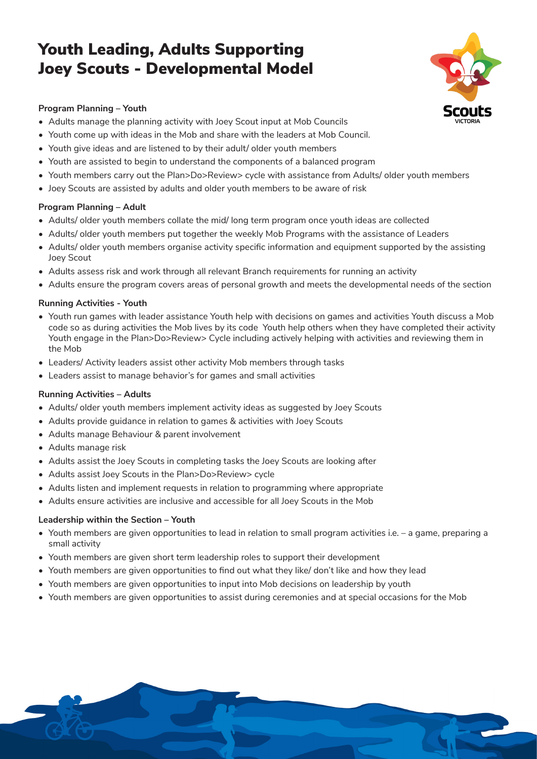# Youth Leading, Adults Supporting Joey Scouts - Developmental Model



1

## **Program Planning – Youth**

- Adults manage the planning activity with Joey Scout input at Mob Councils
- Youth come up with ideas in the Mob and share with the leaders at Mob Council.
- Youth give ideas and are listened to by their adult/ older youth members
- Youth are assisted to begin to understand the components of a balanced program
- Youth members carry out the Plan>Do>Review> cycle with assistance from Adults/ older youth members
- Joey Scouts are assisted by adults and older youth members to be aware of risk

## **Program Planning – Adult**

- Adults/ older youth members collate the mid/ long term program once youth ideas are collected
- Adults/ older youth members put together the weekly Mob Programs with the assistance of Leaders
- Adults/ older youth members organise activity specific information and equipment supported by the assisting Joey Scout
- Adults assess risk and work through all relevant Branch requirements for running an activity
- Adults ensure the program covers areas of personal growth and meets the developmental needs of the section

## **Running Activities - Youth**

- Youth run games with leader assistance Youth help with decisions on games and activities Youth discuss a Mob code so as during activities the Mob lives by its code Youth help others when they have completed their activity Youth engage in the Plan>Do>Review> Cycle including actively helping with activities and reviewing them in the Mob
- Leaders/ Activity leaders assist other activity Mob members through tasks
- Leaders assist to manage behavior's for games and small activities

## **Running Activities – Adults**

- Adults/ older youth members implement activity ideas as suggested by Joey Scouts
- Adults provide guidance in relation to games & activities with Joey Scouts
- Adults manage Behaviour & parent involvement
- Adults manage risk
- Adults assist the Joey Scouts in completing tasks the Joey Scouts are looking after
- Adults assist Joey Scouts in the Plan>Do>Review> cycle
- Adults listen and implement requests in relation to programming where appropriate
- Adults ensure activities are inclusive and accessible for all Joey Scouts in the Mob

### **Leadership within the Section – Youth**

- Youth members are given opportunities to lead in relation to small program activities i.e. a game, preparing a small activity
- Youth members are given short term leadership roles to support their development
- Youth members are given opportunities to find out what they like/ don't like and how they lead
- Youth members are given opportunities to input into Mob decisions on leadership by youth
- Youth members are given opportunities to assist during ceremonies and at special occasions for the Mob